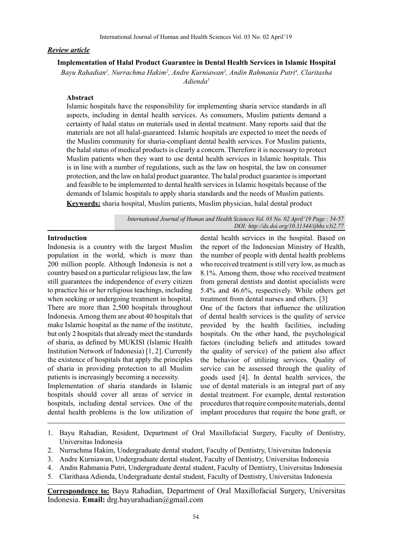### *Review article*

**Implementation of Halal Product Guarantee in Dental Health Services in Islamic Hospital** Bayu Rahadian<sup>1</sup>, Nurrachma Hakim<sup>2</sup>, Andre Kurniawan<sup>3</sup>, Andin Rahmania Putri<sup>4</sup>, Claritasha

*Adienda5*

# **Abstract**

Islamic hospitals have the responsibility for implementing sharia service standards in all aspects, including in dental health services. As consumers, Muslim patients demand a certainty of halal status on materials used in dental treatment. Many reports said that the materials are not all halal-guaranteed. Islamic hospitals are expected to meet the needs of the Muslim community for sharia-compliant dental health services. For Muslim patients, the halal status of medical products is clearly a concern. Therefore it is necessary to protect Muslim patients when they want to use dental health services in Islamic hospitals. This is in line with a number of regulations, such as the law on hospital, the law on consumer protection, and the law on halal product guarantee. The halal product guarantee is important and feasible to be implemented to dental health services in Islamic hospitals because of the demands of Islamic hospitals to apply sharia standards and the needs of Muslim patients. **Keywords:** sharia hospital, Muslim patients, Muslim physician, halal dental product

> *International Journal of Human and Health Sciences Vol. 03 No. 02 April'19 Page : 54-57 DOI: http://dx.doi.org/10.31344/ijhhs.v3i2.77*

# **Introduction**

Indonesia is a country with the largest Muslim population in the world, which is more than 200 million people. Although Indonesia is not a country based on a particular religious law, the law still guarantees the independence of every citizen to practice his or her religious teachings, including when seeking or undergoing treatment in hospital. There are more than 2,500 hospitals throughout Indonesia. Among them are about 40 hospitals that make Islamic hospital as the name of the institute, but only 2 hospitals that already meet the standards of sharia, as defined by MUKISI (Islamic Health Institution Network of Indonesia) [1, 2]. Currently the existence of hospitals that apply the principles of sharia in providing protection to all Muslim patients is increasingly becoming a necessity.

Implementation of sharia standards in Islamic hospitals should cover all areas of service in hospitals, including dental services. One of the dental health problems is the low utilization of dental health services in the hospital. Based on the report of the Indonesian Ministry of Health, the number of people with dental health problems who received treatment is still very low, as much as 8.1%. Among them, those who received treatment from general dentists and dentist specialists were 5.4% and 46.6%, respectively. While others get treatment from dental nurses and others. [3] One of the factors that influence the utilization of dental health services is the quality of service

provided by the health facilities, including hospitals. On the other hand, the psychological factors (including beliefs and attitudes toward the quality of service) of the patient also affect the behavior of utilizing services. Quality of service can be assessed through the quality of goods used [4]. In dental health services, the use of dental materials is an integral part of any dental treatment. For example, dental restoration procedures that require composite materials, dental implant procedures that require the bone graft, or

- 1. Bayu Rahadian, Resident, Department of Oral Maxillofacial Surgery, Faculty of Dentistry, Universitas Indonesia
- 2. Nurrachma Hakim, Undergraduate dental student, Faculty of Dentistry, Universitas Indonesia
- 3. Andre Kurniawan, Undergraduate dental student, Faculty of Dentistry, Universitas Indonesia
- 4. Andin Rahmania Putri, Undergraduate dental student, Faculty of Dentistry, Universitas Indonesia
- 5. Clarithasa Adienda, Undergraduate dental student, Faculty of Dentistry, Universitas Indonesia

**Correspondence to:** Bayu Rahadian, Department of Oral Maxillofacial Surgery, Universitas Indonesia. **Email:** drg.bayurahadian@gmail.com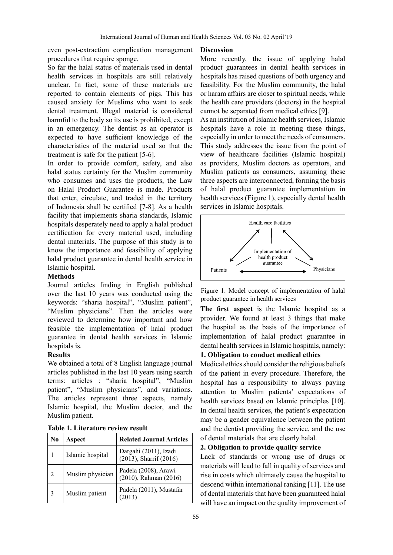even post-extraction complication management procedures that require sponge.

So far the halal status of materials used in dental health services in hospitals are still relatively unclear. In fact, some of these materials are reported to contain elements of pigs. This has caused anxiety for Muslims who want to seek dental treatment. Illegal material is considered harmful to the body so its use is prohibited, except in an emergency. The dentist as an operator is expected to have sufficient knowledge of the characteristics of the material used so that the treatment is safe for the patient [5-6].

In order to provide comfort, safety, and also halal status certainty for the Muslim community who consumes and uses the products, the Law on Halal Product Guarantee is made. Products that enter, circulate, and traded in the territory of Indonesia shall be certified [7-8]. As a health facility that implements sharia standards, Islamic hospitals desperately need to apply a halal product certification for every material used, including dental materials. The purpose of this study is to know the importance and feasibility of applying halal product guarantee in dental health service in Islamic hospital.

# **Methods**

Journal articles finding in English published over the last 10 years was conducted using the keywords: "sharia hospital", "Muslim patient", "Muslim physicians". Then the articles were reviewed to determine how important and how feasible the implementation of halal product guarantee in dental health services in Islamic hospitals is.

### **Results**

We obtained a total of 8 English language journal articles published in the last 10 years using search terms: articles : "sharia hospital", "Muslim patient", "Muslim physicians", and variations. The articles represent three aspects, namely Islamic hospital, the Muslim doctor, and the Muslim patient.

| N0             | Aspect           | <b>Related Journal Articles</b>                 |
|----------------|------------------|-------------------------------------------------|
|                | Islamic hospital | Dargahi (2011), Izadi<br>(2013), Sharrif (2016) |
| $\mathfrak{D}$ | Muslim physician | Padela (2008), Arawi<br>(2010), Rahman (2016)   |
| 3              | Muslim patient   | Padela (2011), Mustafar<br>(2013)               |

|  |  | Table 1. Literature review result |  |
|--|--|-----------------------------------|--|
|  |  |                                   |  |

### **Discussion**

More recently, the issue of applying halal product guarantees in dental health services in hospitals has raised questions of both urgency and feasibility. For the Muslim community, the halal or haram affairs are closer to spiritual needs, while the health care providers (doctors) in the hospital cannot be separated from medical ethics [9].

As an institution of Islamic health services, Islamic hospitals have a role in meeting these things, especially in order to meet the needs of consumers. This study addresses the issue from the point of view of healthcare facilities (Islamic hospital) as providers, Muslim doctors as operators, and Muslim patients as consumers, assuming these three aspects are interconnected, forming the basis of halal product guarantee implementation in health services (Figure 1), especially dental health services in Islamic hospitals.



Figure 1. Model concept of implementation of halal product guarantee in health services

**The first aspect** is the Islamic hospital as a provider. We found at least 3 things that make the hospital as the basis of the importance of implementation of halal product guarantee in dental health services in Islamic hospitals, namely:

# **1. Obligation to conduct medical ethics**

Medical ethics should consider the religious beliefs of the patient in every procedure. Therefore, the hospital has a responsibility to always paying attention to Muslim patients' expectations of health services based on Islamic principles [10]. In dental health services, the patient's expectation may be a gender equivalence between the patient and the dentist providing the service, and the use of dental materials that are clearly halal.

### **2. Obligation to provide quality service**

Lack of standards or wrong use of drugs or materials will lead to fall in quality of services and rise in costs which ultimately cause the hospital to descend within international ranking [11]. The use of dental materials that have been guaranteed halal will have an impact on the quality improvement of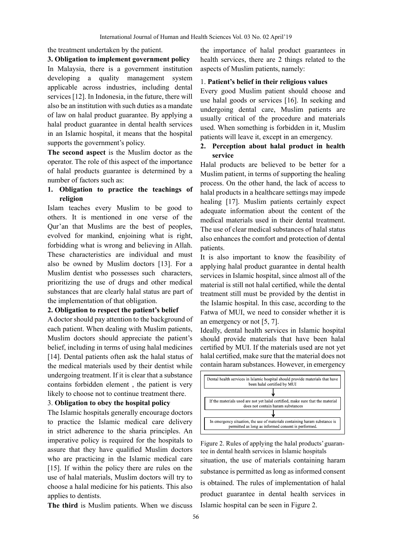the treatment undertaken by the patient.

#### **3. Obligation to implement government policy**

In Malaysia, there is a government institution developing a quality management system applicable across industries, including dental services [12]. In Indonesia, in the future, there will also be an institution with such duties as a mandate of law on halal product guarantee. By applying a halal product guarantee in dental health services in an Islamic hospital, it means that the hospital supports the government's policy.

**The second aspect** is the Muslim doctor as the operator. The role of this aspect of the importance of halal products guarantee is determined by a number of factors such as:

# **1. Obligation to practice the teachings of religion**

Islam teaches every Muslim to be good to others. It is mentioned in one verse of the Qur'an that Muslims are the best of peoples, evolved for mankind, enjoining what is right, forbidding what is wrong and believing in Allah. These characteristics are individual and must also be owned by Muslim doctors [13]. For a Muslim dentist who possesses such characters, prioritizing the use of drugs and other medical substances that are clearly halal status are part of the implementation of that obligation.

### **2. Obligation to respect the patient's belief**

A doctor should pay attention to the background of each patient. When dealing with Muslim patients, Muslim doctors should appreciate the patient's belief, including in terms of using halal medicines [14]. Dental patients often ask the halal status of the medical materials used by their dentist while undergoing treatment. If it is clear that a substance contains forbidden element , the patient is very likely to choose not to continue treatment there.

# 3. **Obligation to obey the hospital policy**

The Islamic hospitals generally encourage doctors to practice the Islamic medical care delivery in strict adherence to the sharia principles. An imperative policy is required for the hospitals to assure that they have qualified Muslim doctors who are practicing in the Islamic medical care [15]. If within the policy there are rules on the use of halal materials, Muslim doctors will try to choose a halal medicine for his patients. This also applies to dentists.

**The third** is Muslim patients. When we discuss

the importance of halal product guarantees in health services, there are 2 things related to the aspects of Muslim patients, namely:

### 1. **Patient's belief in their religious values**

Every good Muslim patient should choose and use halal goods or services [16]. In seeking and undergoing dental care, Muslim patients are usually critical of the procedure and materials used. When something is forbidden in it, Muslim patients will leave it, except in an emergency.

# **2. Perception about halal product in health service**

Halal products are believed to be better for a Muslim patient, in terms of supporting the healing process. On the other hand, the lack of access to halal products in a healthcare settings may impede healing [17]. Muslim patients certainly expect adequate information about the content of the medical materials used in their dental treatment. The use of clear medical substances of halal status also enhances the comfort and protection of dental patients.

It is also important to know the feasibility of applying halal product guarantee in dental health services in Islamic hospital, since almost all of the material is still not halal certified, while the dental treatment still must be provided by the dentist in the Islamic hospital. In this case, according to the Fatwa of MUI, we need to consider whether it is an emergency or not [5, 7].

Ideally, dental health services in Islamic hospital should provide materials that have been halal certified by MUI. If the materials used are not yet halal certified, make sure that the material does not contain haram substances. However, in emergency



Figure 2. Rules of applying the halal products' guarantee in dental health services in Islamic hospitals situation, the use of materials containing haram substance is permitted as long as informed consent is obtained. The rules of implementation of halal product guarantee in dental health services in Islamic hospital can be seen in Figure 2.